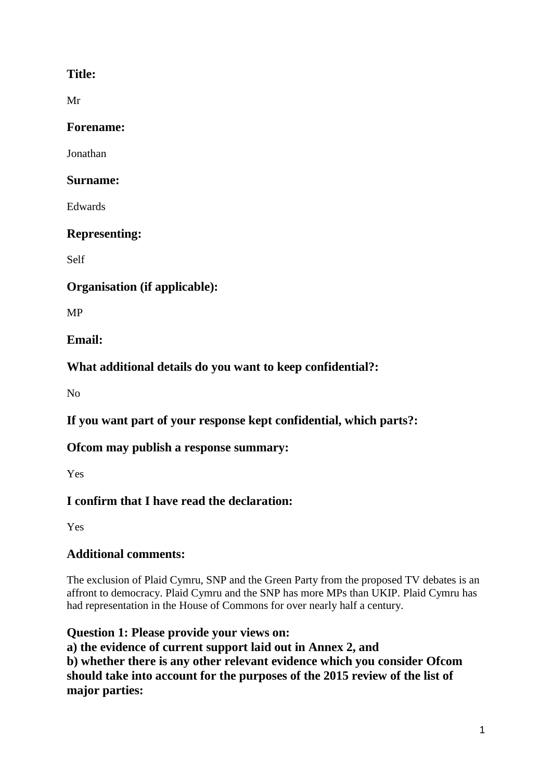#### **Title:**

Mr

**Forename:**

Jonathan

#### **Surname:**

Edwards

### **Representing:**

Self

### **Organisation (if applicable):**

MP

### **Email:**

**What additional details do you want to keep confidential?:**

No

**If you want part of your response kept confidential, which parts?:**

# **Ofcom may publish a response summary:**

Yes

# **I confirm that I have read the declaration:**

Yes

# **Additional comments:**

The exclusion of Plaid Cymru, SNP and the Green Party from the proposed TV debates is an affront to democracy. Plaid Cymru and the SNP has more MPs than UKIP. Plaid Cymru has had representation in the House of Commons for over nearly half a century.

**Question 1: Please provide your views on: a) the evidence of current support laid out in Annex 2, and b) whether there is any other relevant evidence which you consider Ofcom should take into account for the purposes of the 2015 review of the list of major parties:**